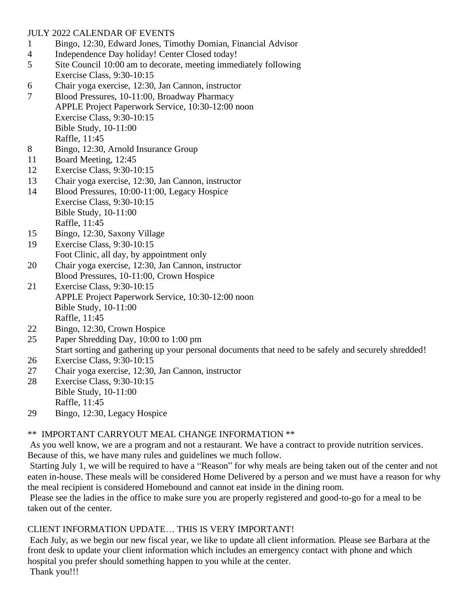## JULY 2022 CALENDAR OF EVENTS

- 1 Bingo, 12:30, Edward Jones, Timothy Domian, Financial Advisor
- 4 Independence Day holiday! Center Closed today!
- 5 Site Council 10:00 am to decorate, meeting immediately following Exercise Class, 9:30-10:15
- 6 Chair yoga exercise, 12:30, Jan Cannon, instructor
- 7 Blood Pressures, 10-11:00, Broadway Pharmacy APPLE Project Paperwork Service, 10:30-12:00 noon Exercise Class, 9:30-10:15 Bible Study, 10-11:00 Raffle, 11:45
- 8 Bingo, 12:30, Arnold Insurance Group
- 11 Board Meeting, 12:45
- 12 Exercise Class, 9:30-10:15
- 13 Chair yoga exercise, 12:30, Jan Cannon, instructor
- 14 Blood Pressures, 10:00-11:00, Legacy Hospice Exercise Class, 9:30-10:15 Bible Study, 10-11:00 Raffle, 11:45
- 15 Bingo, 12:30, Saxony Village
- 19 Exercise Class, 9:30-10:15 Foot Clinic, all day, by appointment only
- 20 Chair yoga exercise, 12:30, Jan Cannon, instructor
- Blood Pressures, 10-11:00, Crown Hospice 21 Exercise Class, 9:30-10:15 APPLE Project Paperwork Service, 10:30-12:00 noon Bible Study, 10-11:00 Raffle, 11:45
- 22 Bingo, 12:30, Crown Hospice
- 25 Paper Shredding Day, 10:00 to 1:00 pm Start sorting and gathering up your personal documents that need to be safely and securely shredded!
- 26 Exercise Class, 9:30-10:15
- 27 Chair yoga exercise, 12:30, Jan Cannon, instructor
- 28 Exercise Class, 9:30-10:15 Bible Study, 10-11:00 Raffle, 11:45
- 29 Bingo, 12:30, Legacy Hospice

# \*\* IMPORTANT CARRYOUT MEAL CHANGE INFORMATION \*\*

As you well know, we are a program and not a restaurant. We have a contract to provide nutrition services. Because of this, we have many rules and guidelines we much follow.

Starting July 1, we will be required to have a "Reason" for why meals are being taken out of the center and not eaten in-house. These meals will be considered Home Delivered by a person and we must have a reason for why the meal recipient is considered Homebound and cannot eat inside in the dining room.

Please see the ladies in the office to make sure you are properly registered and good-to-go for a meal to be taken out of the center.

# CLIENT INFORMATION UPDATE… THIS IS VERY IMPORTANT!

Each July, as we begin our new fiscal year, we like to update all client information. Please see Barbara at the front desk to update your client information which includes an emergency contact with phone and which hospital you prefer should something happen to you while at the center. Thank you!!!